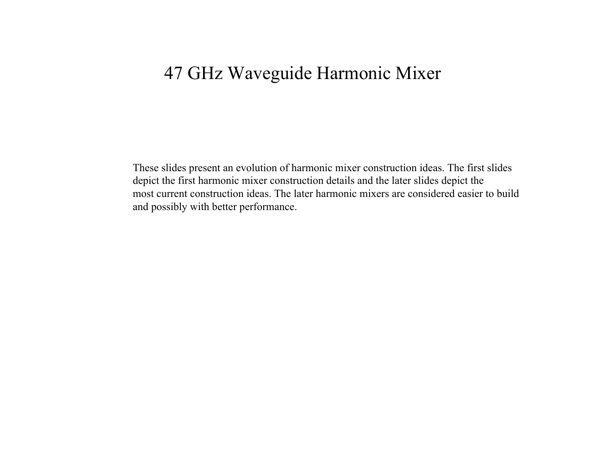These slides present an evolution of harmonic mixer construction ideas. The first slides depict the first harmonic mixer construction details and the later slides depict the most current construction ideas. The later harmonic mixers are considered easier to buildand possibly with better performance.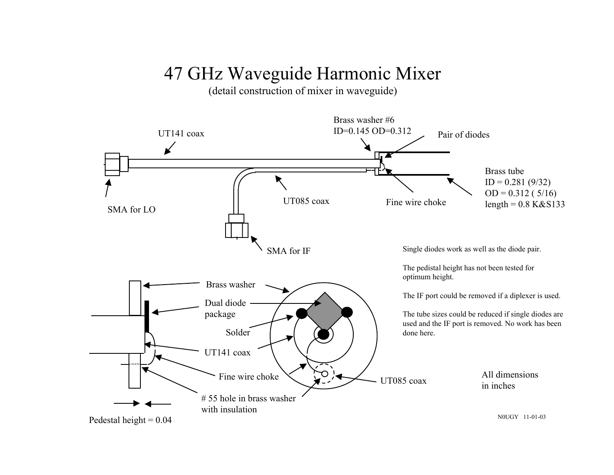(detail construction of mixer in waveguide)

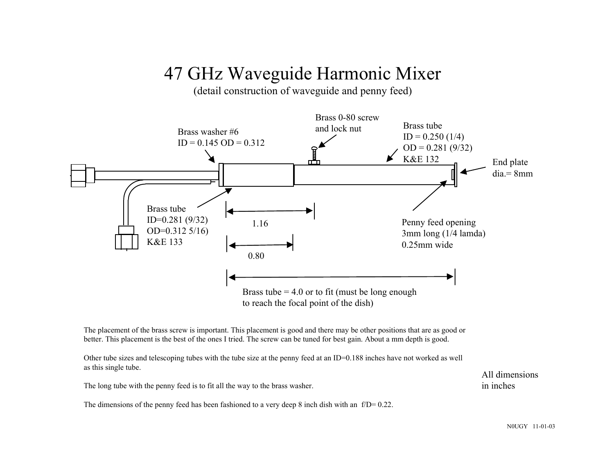(detail construction of waveguide and penny feed)



The placement of the brass screw is important. This placement is good and there may be other positions that are as good or better. This placement is the best of the ones I tried. The screw can be tuned for best gain. About a mm depth is good.

Other tube sizes and telescoping tubes with the tube size at the penny feed at an ID=0.188 inches have not worked as well as this single tube.

The long tube with the penny feed is to fit all the way to the brass washer.

The dimensions of the penny feed has been fashioned to a very deep 8 inch dish with an f/D= 0.22.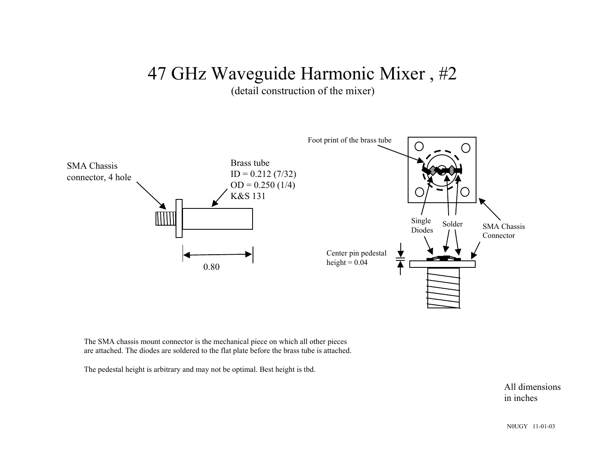(detail construction of the mixer)



The SMA chassis mount connector is the mechanical piece on which all other pieces are attached. The diodes are soldered to the flat plate before the brass tube is attached.

The pedestal height is arbitrary and may not be optimal. Best height is tbd.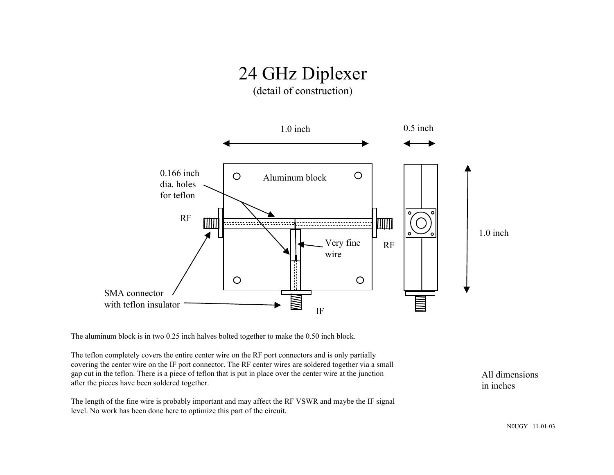# 24 GHz Diplexer

(detail of construction)



The aluminum block is in two 0.25 inch halves bolted together to make the 0.50 inch block.

The teflon completely covers the entire center wire on the RF port connectors and is only partially covering the center wire on the IF port connector. The RF center wires are soldered together via a small gap cut in the teflon. There is a piece of teflon that is put in place over the center wire at the junction after the pieces have been soldered together.

The length of the fine wire is probably important and may affect the RF VSWR and maybe the IF signal level. No work has been done here to optimize this part of the circuit.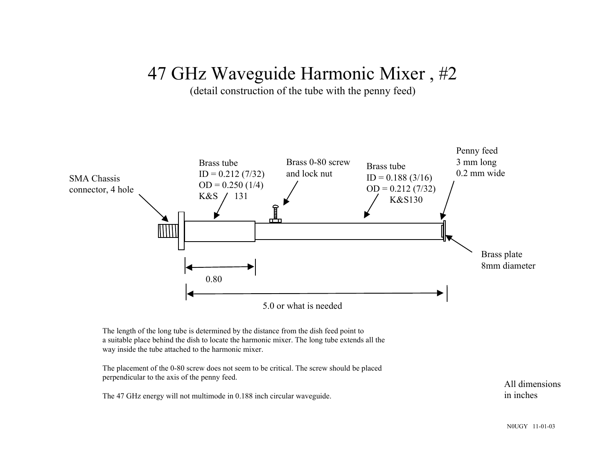(detail construction of the tube with the penny feed)



The length of the long tube is determined by the distance from the dish feed point to a suitable place behind the dish to locate the harmonic mixer. The long tube extends all the way inside the tube attached to the harmonic mixer.

The placement of the 0-80 screw does not seem to be critical. The screw should be placed perpendicular to the axis of the penny feed.

The 47 GHz energy will not multimode in 0.188 inch circular waveguide.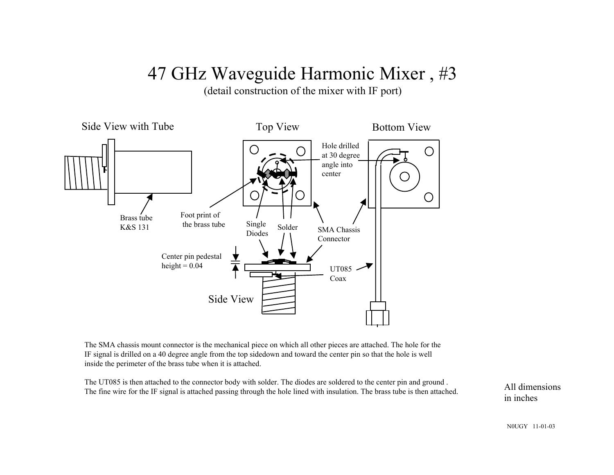(detail construction of the mixer with IF port)



The SMA chassis mount connector is the mechanical piece on which all other pieces are attached. The hole for the IF signal is drilled on a 40 degree angle from the top sidedown and toward the center pin so that the hole is well inside the perimeter of the brass tube when it is attached.

The UT085 is then attached to the connector body with solder. The diodes are soldered to the center pin and ground . The fine wire for the IF signal is attached passing through the hole lined with insulation. The brass tube is then attached.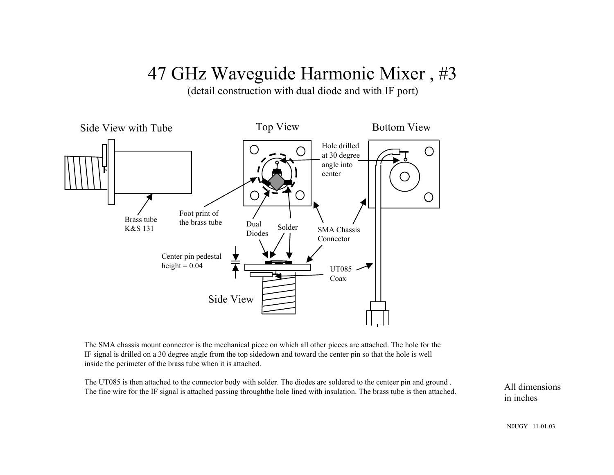(detail construction with dual diode and with IF port)



The SMA chassis mount connector is the mechanical piece on which all other pieces are attached. The hole for the IF signal is drilled on a 30 degree angle from the top sidedown and toward the center pin so that the hole is well inside the perimeter of the brass tube when it is attached.

The UT085 is then attached to the connector body with solder. The diodes are soldered to the centeer pin and ground . The fine wire for the IF signal is attached passing throughthe hole lined with insulation. The brass tube is then attached.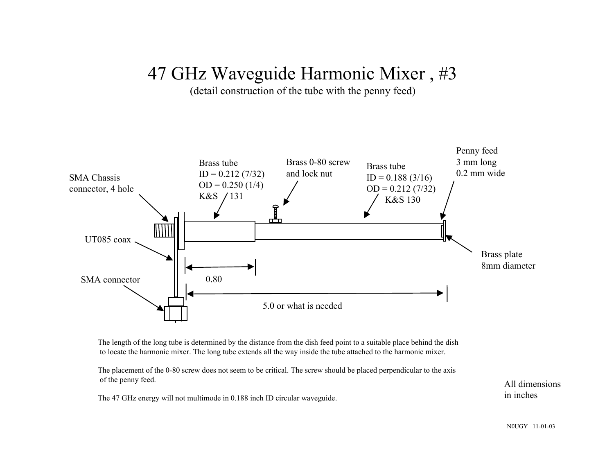(detail construction of the tube with the penny feed)



The length of the long tube is determined by the distance from the dish feed point to a suitable place behind the dish to locate the harmonic mixer. The long tube extends all the way inside the tube attached to the harmonic mixer.

The placement of the 0-80 screw does not seem to be critical. The screw should be placed perpendicular to the axis of the penny feed.

The 47 GHz energy will not multimode in 0.188 inch ID circular waveguide.